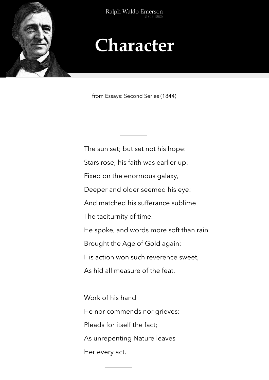

Ralph Waldo Emerson

## **Character**

from Essays: Second Series (1844)

The sun set; but set not his hope: Stars rose; his faith was earlier up: Fixed on the enormous galaxy, Deeper and older seemed his eye: And matched his sufferance sublime The taciturnity of time. He spoke, and words more soft than rain Brought the Age of Gold again: His action won such reverence sweet, As hid all measure of the feat. Work of his hand

He nor commends nor grieves:

Pleads for itself the fact;

As unrepenting Nature leaves

Her every act.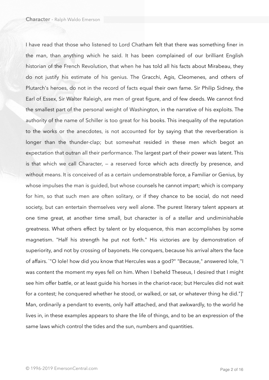I have read that those who listened to Lord Chatham felt that there was something finer in the man, than anything which he said. It has been complained of our brilliant English historian of the French Revolution, that when he has told all his facts about Mirabeau, they do not justify his estimate of his genius. The Gracchi, Agis, Cleomenes, and others of Plutarch's heroes, do not in the record of facts equal their own fame. Sir Philip Sidney, the Earl of Essex, Sir Walter Raleigh, are men of great figure, and of few deeds. We cannot find the smallest part of the personal weight of Washington, in the narrative of his exploits. The authority of the name of Schiller is too great for his books. This inequality of the reputation to the works or the anecdotes, is not accounted for by saying that the reverberation is longer than the thunder-clap; but somewhat resided in these men which begot an expectation that outran all their performance. The largest part of their power was latent. This is that which we call Character, — a reserved force which acts directly by presence, and without means. It is conceived of as a certain undemonstrable force, a Familiar or Genius, by whose impulses the man is guided, but whose counsels he cannot impart; which is company for him, so that such men are often solitary, or if they chance to be social, do not need society, but can entertain themselves very well alone. The purest literary talent appears at one time great, at another time small, but character is of a stellar and undiminishable greatness. What others effect by talent or by eloquence, this man accomplishes by some magnetism. "Half his strength he put not forth." His victories are by demonstration of superiority, and not by crossing of bayonets. He conquers, because his arrival alters the face of affairs. `"O Iole! how did you know that Hercules was a god?" "Because," answered Iole, "I was content the moment my eyes fell on him. When I beheld Theseus, I desired that I might see him offer battle, or at least guide his horses in the chariot-race; but Hercules did not wait for a contest; he conquered whether he stood, or walked, or sat, or whatever thing he did."]' Man, ordinarily a pendant to events, only half attached, and that awkwardly, to the world he lives in, in these examples appears to share the life of things, and to be an expression of the same laws which control the tides and the sun, numbers and quantities.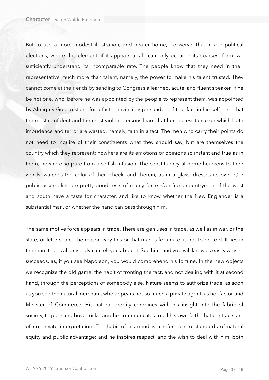But to use a more modest illustration, and nearer home, I observe, that in our political elections, where this element, if it appears at all, can only occur in its coarsest form, we sufficiently understand its incomparable rate. The people know that they need in their representative much more than talent, namely, the power to make his talent trusted. They cannot come at their ends by sending to Congress a learned, acute, and fluent speaker, if he be not one, who, before he was appointed by the people to represent them, was appointed by Almighty God to stand for a fact, — invincibly persuaded of that fact in himself, — so that the most confident and the most violent persons learn that here is resistance on which both impudence and terror are wasted, namely, faith in a fact. The men who carry their points do not need to inquire of their constituents what they should say, but are themselves the country which they represent: nowhere are its emotions or opinions so instant and true as in them; nowhere so pure from a selfish infusion. The constituency at home hearkens to their words, watches the color of their cheek, and therein, as in a glass, dresses its own. Our public assemblies are pretty good tests of manly force. Our frank countrymen of the west and south have a taste for character, and like to know whether the New Englander is a substantial man, or whether the hand can pass through him.

The same motive force appears in trade. There are geniuses in trade, as well as in war, or the state, or letters; and the reason why this or that man is fortunate, is not to be told. It lies in the man: that is all anybody can tell you about it. See him, and you will know as easily why he succeeds, as, if you see Napoleon, you would comprehend his fortune. In the new objects we recognize the old game, the habit of fronting the fact, and not dealing with it at second hand, through the perceptions of somebody else. Nature seems to authorize trade, as soon as you see the natural merchant, who appears not so much a private agent, as her factor and Minister of Commerce. His natural probity combines with his insight into the fabric of society, to put him above tricks, and he communicates to all his own faith, that contracts are of no private interpretation. The habit of his mind is a reference to standards of natural equity and public advantage; and he inspires respect, and the wish to deal with him, both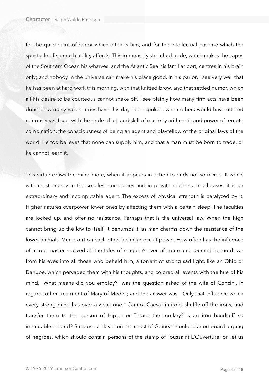for the quiet spirit of honor which attends him, and for the intellectual pastime which the spectacle of so much ability affords. This immensely stretched trade, which makes the capes of the Southern Ocean his wharves, and the Atlantic Sea his familiar port, centres in his brain only; and nobody in the universe can make his place good. In his parlor, I see very well that he has been at hard work this morning, with that knitted brow, and that settled humor, which all his desire to be courteous cannot shake off. I see plainly how many firm acts have been done; how many valiant noes have this day been spoken, when others would have uttered ruinous yeas. I see, with the pride of art, and skill of masterly arithmetic and power of remote combination, the consciousness of being an agent and playfellow of the original laws of the world. He too believes that none can supply him, and that a man must be born to trade, or he cannot learn it.

This virtue draws the mind more, when it appears in action to ends not so mixed. It works with most energy in the smallest companies and in private relations. In all cases, it is an extraordinary and incomputable agent. The excess of physical strength is paralyzed by it. Higher natures overpower lower ones by affecting them with a certain sleep. The faculties are locked up, and offer no resistance. Perhaps that is the universal law. When the high cannot bring up the low to itself, it benumbs it, as man charms down the resistance of the lower animals. Men exert on each other a similar occult power. How often has the influence of a true master realized all the tales of magic! A river of command seemed to run down from his eyes into all those who beheld him, a torrent of strong sad light, like an Ohio or Danube, which pervaded them with his thoughts, and colored all events with the hue of his mind. "What means did you employ?" was the question asked of the wife of Concini, in regard to her treatment of Mary of Medici; and the answer was, "Only that influence which every strong mind has over a weak one." Cannot Caesar in irons shuffle off the irons, and transfer them to the person of Hippo or Thraso the turnkey? Is an iron handcuff so immutable a bond? Suppose a slaver on the coast of Guinea should take on board a gang of negroes, which should contain persons of the stamp of Toussaint L'Ouverture: or, let us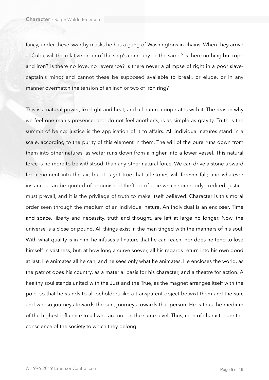fancy, under these swarthy masks he has a gang of Washingtons in chains. When they arrive at Cuba, will the relative order of the ship's company be the same? Is there nothing but rope and iron? Is there no love, no reverence? Is there never a glimpse of right in a poor slavecaptain's mind; and cannot these be supposed available to break, or elude, or in any manner overmatch the tension of an inch or two of iron ring?

This is a natural power, like light and heat, and all nature cooperates with it. The reason why we feel one man's presence, and do not feel another's, is as simple as gravity. Truth is the summit of being: justice is the application of it to affairs. All individual natures stand in a scale, according to the purity of this element in them. The will of the pure runs down from them into other natures, as water runs down from a higher into a lower vessel. This natural force is no more to be withstood, than any other natural force. We can drive a stone upward for a moment into the air, but it is yet true that all stones will forever fall; and whatever instances can be quoted of unpunished theft, or of a lie which somebody credited, justice must prevail, and it is the privilege of truth to make itself believed. Character is this moral order seen through the medium of an individual nature. An individual is an encloser. Time and space, liberty and necessity, truth and thought, are left at large no longer. Now, the universe is a close or pound. All things exist in the man tinged with the manners of his soul. With what quality is in him, he infuses all nature that he can reach; nor does he tend to lose himself in vastness, but, at how long a curve soever, all his regards return into his own good at last. He animates all he can, and he sees only what he animates. He encloses the world, as the patriot does his country, as a material basis for his character, and a theatre for action. A healthy soul stands united with the Just and the True, as the magnet arranges itself with the pole, so that he stands to all beholders like a transparent object betwixt them and the sun, and whoso journeys towards the sun, journeys towards that person. He is thus the medium of the highest influence to all who are not on the same level. Thus, men of character are the conscience of the society to which they belong.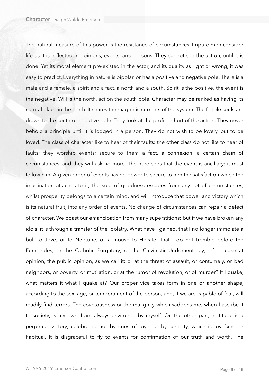The natural measure of this power is the resistance of circumstances. Impure men consider life as it is reflected in opinions, events, and persons. They cannot see the action, until it is done. Yet its moral element pre-existed in the actor, and its quality as right or wrong, it was easy to predict. Everything in nature is bipolar, or has a positive and negative pole. There is a male and a female, a spirit and a fact, a north and a south. Spirit is the positive, the event is the negative. Will is the north, action the south pole. Character may be ranked as having its natural place in the north. It shares the magnetic currents of the system. The feeble souls are drawn to the south or negative pole. They look at the profit or hurt of the action. They never behold a principle until it is lodged in a person. They do not wish to be lovely, but to be loved. The class of character like to hear of their faults: the other class do not like to hear of faults; they worship events; secure to them a fact, a connexion, a certain chain of circumstances, and they will ask no more. The hero sees that the event is ancillary: it must follow him. A given order of events has no power to secure to him the satisfaction which the imagination attaches to it; the soul of goodness escapes from any set of circumstances, whilst prosperity belongs to a certain mind, and will introduce that power and victory which is its natural fruit, into any order of events. No change of circumstances can repair a defect of character. We boast our emancipation from many superstitions; but if we have broken any idols, it is through a transfer of the idolatry. What have I gained, that I no longer immolate a bull to Jove, or to Neptune, or a mouse to Hecate; that I do not tremble before the Eumenides, or the Catholic Purgatory, or the Calvinistic Judgment-day,— if I quake at opinion, the public opinion, as we call it; or at the threat of assault, or contumely, or bad neighbors, or poverty, or mutilation, or at the rumor of revolution, or of murder? If I quake, what matters it what I quake at? Our proper vice takes form in one or another shape, according to the sex, age, or temperament of the person, and, if we are capable of fear, will readily find terrors. The covetousness or the malignity which saddens me, when I ascribe it to society, is my own. I am always environed by myself. On the other part, rectitude is a perpetual victory, celebrated not by cries of joy, but by serenity, which is joy fixed or habitual. It is disgraceful to fly to events for confirmation of our truth and worth. The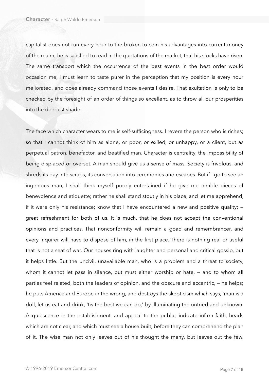capitalist does not run every hour to the broker, to coin his advantages into current money of the realm; he is satisfied to read in the quotations of the market, that his stocks have risen. The same transport which the occurrence of the best events in the best order would occasion me, I must learn to taste purer in the perception that my position is every hour meliorated, and does already command those events I desire. That exultation is only to be checked by the foresight of an order of things so excellent, as to throw all our prosperities into the deepest shade.

The face which character wears to me is self-sufficingness. I revere the person who is riches; so that I cannot think of him as alone, or poor, or exiled, or unhappy, or a client, but as perpetual patron, benefactor, and beatified man. Character is centrality, the impossibility of being displaced or overset. A man should give us a sense of mass. Society is frivolous, and shreds its day into scraps, its conversation into ceremonies and escapes. But if I go to see an ingenious man, I shall think myself poorly entertained if he give me nimble pieces of benevolence and etiquette; rather he shall stand stoutly in his place, and let me apprehend, if it were only his resistance; know that I have encountered a new and positive quality; great refreshment for both of us. It is much, that he does not accept the conventional opinions and practices. That nonconformity will remain a goad and remembrancer, and every inquirer will have to dispose of him, in the first place. There is nothing real or useful that is not a seat of war. Our houses ring with laughter and personal and critical gossip, but it helps little. But the uncivil, unavailable man, who is a problem and a threat to society, whom it cannot let pass in silence, but must either worship or hate, – and to whom all parties feel related, both the leaders of opinion, and the obscure and eccentric, — he helps; he puts America and Europe in the wrong, and destroys the skepticism which says, `man is a doll, let us eat and drink, 'tis the best we can do,' by illuminating the untried and unknown. Acquiescence in the establishment, and appeal to the public, indicate infirm faith, heads which are not clear, and which must see a house built, before they can comprehend the plan of it. The wise man not only leaves out of his thought the many, but leaves out the few.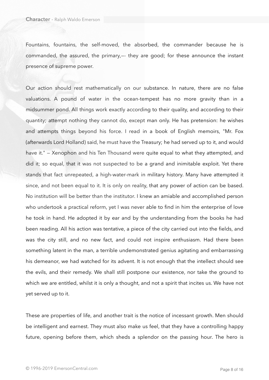Fountains, fountains, the self-moved, the absorbed, the commander because he is commanded, the assured, the primary,—- they are good; for these announce the instant presence of supreme power.

Our action should rest mathematically on our substance. In nature, there are no false valuations. A pound of water in the ocean-tempest has no more gravity than in a midsummer pond. All things work exactly according to their quality, and according to their quantity; attempt nothing they cannot do, except man only. He has pretension: he wishes and attempts things beyond his force. I read in a book of English memoirs, "Mr. Fox (afterwards Lord Holland) said, he must have the Treasury; he had served up to it, and would have it." – Xenophon and his Ten Thousand were quite equal to what they attempted, and did it; so equal, that it was not suspected to be a grand and inimitable exploit. Yet there stands that fact unrepeated, a high-water-mark in military history. Many have attempted it since, and not been equal to it. It is only on reality, that any power of action can be based. No institution will be better than the institutor. I knew an amiable and accomplished person who undertook a practical reform, yet I was never able to find in him the enterprise of love he took in hand. He adopted it by ear and by the understanding from the books he had been reading. All his action was tentative, a piece of the city carried out into the fields, and was the city still, and no new fact, and could not inspire enthusiasm. Had there been something latent in the man, a terrible undemonstrated genius agitating and embarrassing his demeanor, we had watched for its advent. It is not enough that the intellect should see the evils, and their remedy. We shall still postpone our existence, nor take the ground to which we are entitled, whilst it is only a thought, and not a spirit that incites us. We have not yet served up to it.

These are properties of life, and another trait is the notice of incessant growth. Men should be intelligent and earnest. They must also make us feel, that they have a controlling happy future, opening before them, which sheds a splendor on the passing hour. The hero is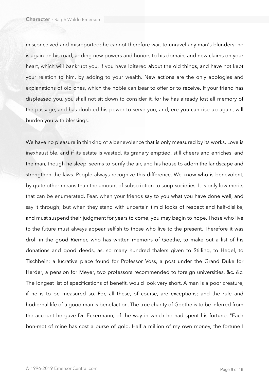misconceived and misreported: he cannot therefore wait to unravel any man's blunders: he is again on his road, adding new powers and honors to his domain, and new claims on your heart, which will bankrupt you, if you have loitered about the old things, and have not kept your relation to him, by adding to your wealth. New actions are the only apologies and explanations of old ones, which the noble can bear to offer or to receive. If your friend has displeased you, you shall not sit down to consider it, for he has already lost all memory of the passage, and has doubled his power to serve you, and, ere you can rise up again, will burden you with blessings.

We have no pleasure in thinking of a benevolence that is only measured by its works. Love is inexhaustible, and if its estate is wasted, its granary emptied, still cheers and enriches, and the man, though he sleep, seems to purify the air, and his house to adorn the landscape and strengthen the laws. People always recognize this difference. We know who is benevolent, by quite other means than the amount of subscription to soup-societies. It is only low merits that can be enumerated. Fear, when your friends say to you what you have done well, and say it through; but when they stand with uncertain timid looks of respect and half-dislike, and must suspend their judgment for years to come, you may begin to hope. Those who live to the future must always appear selfish to those who live to the present. Therefore it was droll in the good Riemer, who has written memoirs of Goethe, to make out a list of his donations and good deeds, as, so many hundred thalers given to Stilling, to Hegel, to Tischbein: a lucrative place found for Professor Voss, a post under the Grand Duke for Herder, a pension for Meyer, two professors recommended to foreign universities, &c. &c. The longest list of specifications of benefit, would look very short. A man is a poor creature, if he is to be measured so. For, all these, of course, are exceptions; and the rule and hodiernal life of a good man is benefaction. The true charity of Goethe is to be inferred from the account he gave Dr. Eckermann, of the way in which he had spent his fortune. "Each bon-mot of mine has cost a purse of gold. Half a million of my own money, the fortune I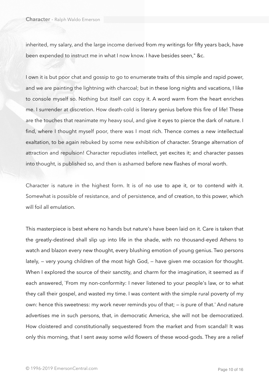inherited, my salary, and the large income derived from my writings for fifty years back, have been expended to instruct me in what I now know. I have besides seen," &c.

I own it is but poor chat and gossip to go to enumerate traits of this simple and rapid power, and we are painting the lightning with charcoal; but in these long nights and vacations, I like to console myself so. Nothing but itself can copy it. A word warm from the heart enriches me. I surrender at discretion. How death-cold is literary genius before this fire of life! These are the touches that reanimate my heavy soul, and give it eyes to pierce the dark of nature. I find, where I thought myself poor, there was I most rich. Thence comes a new intellectual exaltation, to be again rebuked by some new exhibition of character. Strange alternation of attraction and repulsion! Character repudiates intellect, yet excites it; and character passes into thought, is published so, and then is ashamed before new flashes of moral worth.

Character is nature in the highest form. It is of no use to ape it, or to contend with it. Somewhat is possible of resistance, and of persistence, and of creation, to this power, which will foil all emulation.

This masterpiece is best where no hands but nature's have been laid on it. Care is taken that the greatly-destined shall slip up into life in the shade, with no thousand-eyed Athens to watch and blazon every new thought, every blushing emotion of young genius. Two persons lately, — very young children of the most high God, — have given me occasion for thought. When I explored the source of their sanctity, and charm for the imagination, it seemed as if each answered, `From my non-conformity: I never listened to your people's law, or to what they call their gospel, and wasted my time. I was content with the simple rural poverty of my own: hence this sweetness: my work never reminds you of that; — is pure of that.' And nature advertises me in such persons, that, in democratic America, she will not be democratized. How cloistered and constitutionally sequestered from the market and from scandal! It was only this morning, that I sent away some wild flowers of these wood-gods. They are a relief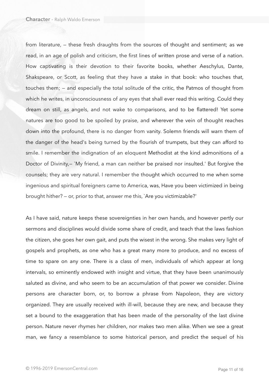from literature, — these fresh draughts from the sources of thought and sentiment; as we read, in an age of polish and criticism, the first lines of written prose and verse of a nation. How captivating is their devotion to their favorite books, whether Aeschylus, Dante, Shakspeare, or Scott, as feeling that they have a stake in that book: who touches that, touches them; — and especially the total solitude of the critic, the Patmos of thought from which he writes, in unconsciousness of any eyes that shall ever read this writing. Could they dream on still, as angels, and not wake to comparisons, and to be flattered! Yet some natures are too good to be spoiled by praise, and wherever the vein of thought reaches down into the profound, there is no danger from vanity. Solemn friends will warn them of the danger of the head's being turned by the flourish of trumpets, but they can afford to smile. I remember the indignation of an eloquent Methodist at the kind admonitions of a Doctor of Divinity,- `My friend, a man can neither be praised nor insulted.' But forgive the counsels; they are very natural. I remember the thought which occurred to me when some ingenious and spiritual foreigners came to America, was, Have you been victimized in being brought hither? — or, prior to that, answer me this, `Are you victimizable?'

As I have said, nature keeps these sovereignties in her own hands, and however pertly our sermons and disciplines would divide some share of credit, and teach that the laws fashion the citizen, she goes her own gait, and puts the wisest in the wrong. She makes very light of gospels and prophets, as one who has a great many more to produce, and no excess of time to spare on any one. There is a class of men, individuals of which appear at long intervals, so eminently endowed with insight and virtue, that they have been unanimously saluted as divine, and who seem to be an accumulation of that power we consider. Divine persons are character born, or, to borrow a phrase from Napoleon, they are victory organized. They are usually received with ill-will, because they are new, and because they set a bound to the exaggeration that has been made of the personality of the last divine person. Nature never rhymes her children, nor makes two men alike. When we see a great man, we fancy a resemblance to some historical person, and predict the sequel of his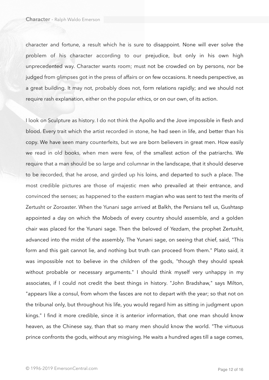character and fortune, a result which he is sure to disappoint. None will ever solve the problem of his character according to our prejudice, but only in his own high unprecedented way. Character wants room; must not be crowded on by persons, nor be judged from glimpses got in the press of affairs or on few occasions. It needs perspective, as a great building. It may not, probably does not, form relations rapidly; and we should not require rash explanation, either on the popular ethics, or on our own, of its action.

I look on Sculpture as history. I do not think the Apollo and the Jove impossible in flesh and blood. Every trait which the artist recorded in stone, he had seen in life, and better than his copy. We have seen many counterfeits, but we are born believers in great men. How easily we read in old books, when men were few, of the smallest action of the patriarchs. We require that a man should be so large and columnar in the landscape, that it should deserve to be recorded, that he arose, and girded up his loins, and departed to such a place. The most credible pictures are those of majestic men who prevailed at their entrance, and convinced the senses; as happened to the eastern magian who was sent to test the merits of Zertusht or Zoroaster. When the Yunani sage arrived at Balkh, the Persians tell us, Gushtasp appointed a day on which the Mobeds of every country should assemble, and a golden chair was placed for the Yunani sage. Then the beloved of Yezdam, the prophet Zertusht, advanced into the midst of the assembly. The Yunani sage, on seeing that chief, said, "This form and this gait cannot lie, and nothing but truth can proceed from them." Plato said, it was impossible not to believe in the children of the gods, "though they should speak without probable or necessary arguments." I should think myself very unhappy in my associates, if I could not credit the best things in history. "John Bradshaw," says Milton, "appears like a consul, from whom the fasces are not to depart with the year; so that not on the tribunal only, but throughout his life, you would regard him as sitting in judgment upon kings." I find it more credible, since it is anterior information, that one man should know heaven, as the Chinese say, than that so many men should know the world. "The virtuous prince confronts the gods, without any misgiving. He waits a hundred ages till a sage comes,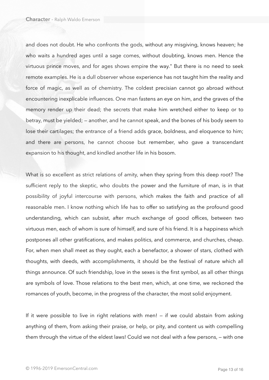and does not doubt. He who confronts the gods, without any misgiving, knows heaven; he who waits a hundred ages until a sage comes, without doubting, knows men. Hence the virtuous prince moves, and for ages shows empire the way." But there is no need to seek remote examples. He is a dull observer whose experience has not taught him the reality and force of magic, as well as of chemistry. The coldest precisian cannot go abroad without encountering inexplicable influences. One man fastens an eye on him, and the graves of the memory render up their dead; the secrets that make him wretched either to keep or to betray, must be yielded; — another, and he cannot speak, and the bones of his body seem to lose their cartilages; the entrance of a friend adds grace, boldness, and eloquence to him; and there are persons, he cannot choose but remember, who gave a transcendant expansion to his thought, and kindled another life in his bosom.

What is so excellent as strict relations of amity, when they spring from this deep root? The sufficient reply to the skeptic, who doubts the power and the furniture of man, is in that possibility of joyful intercourse with persons, which makes the faith and practice of all reasonable men. I know nothing which life has to offer so satisfying as the profound good understanding, which can subsist, after much exchange of good offices, between two virtuous men, each of whom is sure of himself, and sure of his friend. It is a happiness which postpones all other gratifications, and makes politics, and commerce, and churches, cheap. For, when men shall meet as they ought, each a benefactor, a shower of stars, clothed with thoughts, with deeds, with accomplishments, it should be the festival of nature which all things announce. Of such friendship, love in the sexes is the first symbol, as all other things are symbols of love. Those relations to the best men, which, at one time, we reckoned the romances of youth, become, in the progress of the character, the most solid enjoyment.

If it were possible to live in right relations with men! — if we could abstain from asking anything of them, from asking their praise, or help, or pity, and content us with compelling them through the virtue of the eldest laws! Could we not deal with a few persons, — with one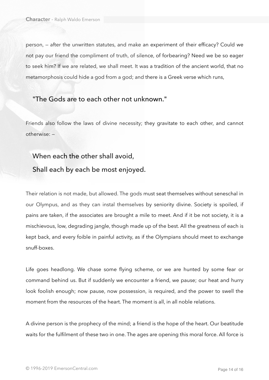person, — after the unwritten statutes, and make an experiment of their efficacy? Could we not pay our friend the compliment of truth, of silence, of forbearing? Need we be so eager to seek him? If we are related, we shall meet. It was a tradition of the ancient world, that no metamorphosis could hide a god from a god; and there is a Greek verse which runs,

## "The Gods are to each other not unknown."

Friends also follow the laws of divine necessity; they gravitate to each other, and cannot otherwise: —

## When each the other shall avoid, Shall each by each be most enjoyed.

Their relation is not made, but allowed. The gods must seat themselves without seneschal in our Olympus, and as they can instal themselves by seniority divine. Society is spoiled, if pains are taken, if the associates are brought a mile to meet. And if it be not society, it is a mischievous, low, degrading jangle, though made up of the best. All the greatness of each is kept back, and every foible in painful activity, as if the Olympians should meet to exchange snuff-boxes.

Life goes headlong. We chase some flying scheme, or we are hunted by some fear or command behind us. But if suddenly we encounter a friend, we pause; our heat and hurry look foolish enough; now pause, now possession, is required, and the power to swell the moment from the resources of the heart. The moment is all, in all noble relations.

A divine person is the prophecy of the mind; a friend is the hope of the heart. Our beatitude waits for the fulfilment of these two in one. The ages are opening this moral force. All force is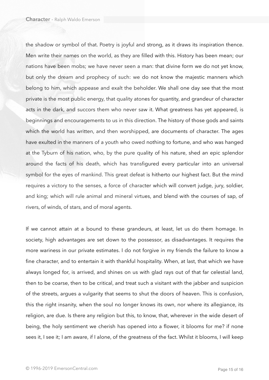the shadow or symbol of that. Poetry is joyful and strong, as it draws its inspiration thence. Men write their names on the world, as they are filled with this. History has been mean; our nations have been mobs; we have never seen a man: that divine form we do not yet know, but only the dream and prophecy of such: we do not know the majestic manners which belong to him, which appease and exalt the beholder. We shall one day see that the most private is the most public energy, that quality atones for quantity, and grandeur of character acts in the dark, and succors them who never saw it. What greatness has yet appeared, is beginnings and encouragements to us in this direction. The history of those gods and saints which the world has written, and then worshipped, are documents of character. The ages have exulted in the manners of a youth who owed nothing to fortune, and who was hanged at the Tyburn of his nation, who, by the pure quality of his nature, shed an epic splendor around the facts of his death, which has transfigured every particular into an universal symbol for the eyes of mankind. This great defeat is hitherto our highest fact. But the mind requires a victory to the senses, a force of character which will convert judge, jury, soldier, and king; which will rule animal and mineral virtues, and blend with the courses of sap, of rivers, of winds, of stars, and of moral agents.

If we cannot attain at a bound to these grandeurs, at least, let us do them homage. In society, high advantages are set down to the possessor, as disadvantages. It requires the more wariness in our private estimates. I do not forgive in my friends the failure to know a fine character, and to entertain it with thankful hospitality. When, at last, that which we have always longed for, is arrived, and shines on us with glad rays out of that far celestial land, then to be coarse, then to be critical, and treat such a visitant with the jabber and suspicion of the streets, argues a vulgarity that seems to shut the doors of heaven. This is confusion, this the right insanity, when the soul no longer knows its own, nor where its allegiance, its religion, are due. Is there any religion but this, to know, that, wherever in the wide desert of being, the holy sentiment we cherish has opened into a flower, it blooms for me? if none sees it, I see it; I am aware, if I alone, of the greatness of the fact. Whilst it blooms, I will keep